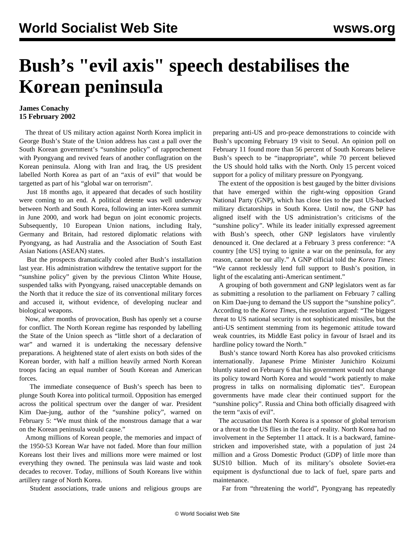## **Bush's "evil axis" speech destabilises the Korean peninsula**

## **James Conachy 15 February 2002**

 The threat of US military action against North Korea implicit in George Bush's State of the Union address has cast a pall over the South Korean government's "sunshine policy" of rapprochement with Pyongyang and revived fears of another conflagration on the Korean peninsula. Along with Iran and Iraq, the US president labelled North Korea as part of an "axis of evil" that would be targetted as part of his "global war on terrorism".

 Just 18 months ago, it appeared that decades of such hostility were coming to an end. A political detente was well underway between North and South Korea, following an inter-Korea summit in June 2000, and work had begun on joint economic projects. Subsequently, 10 European Union nations, including Italy, Germany and Britain, had restored diplomatic relations with Pyongyang, as had Australia and the Association of South East Asian Nations (ASEAN) states.

 But the prospects dramatically cooled after Bush's installation last year. His administration withdrew the tentative support for the "sunshine policy" given by the previous Clinton White House, suspended talks with Pyongyang, raised unacceptable demands on the North that it reduce the size of its conventional military forces and accused it, without evidence, of developing nuclear and biological weapons.

 Now, after months of provocation, Bush has openly set a course for conflict. The North Korean regime has responded by labelling the State of the Union speech as "little short of a declaration of war" and warned it is undertaking the necessary defensive preparations. A heightened state of alert exists on both sides of the Korean border, with half a million heavily armed North Korean troops facing an equal number of South Korean and American forces.

 The immediate consequence of Bush's speech has been to plunge South Korea into political turmoil. Opposition has emerged across the political spectrum over the danger of war. President Kim Dae-jung, author of the "sunshine policy", warned on February 5: "We must think of the monstrous damage that a war on the Korean peninsula would cause."

 Among millions of Korean people, the memories and impact of the 1950-53 Korean War have not faded. More than four million Koreans lost their lives and millions more were maimed or lost everything they owned. The peninsula was laid waste and took decades to recover. Today, millions of South Koreans live within artillery range of North Korea.

Student associations, trade unions and religious groups are

preparing anti-US and pro-peace demonstrations to coincide with Bush's upcoming February 19 visit to Seoul. An opinion poll on February 11 found more than 56 percent of South Koreans believe Bush's speech to be "inappropriate", while 70 percent believed the US should hold talks with the North. Only 15 percent voiced support for a policy of military pressure on Pyongyang.

 The extent of the opposition is best gauged by the bitter divisions that have emerged within the right-wing opposition Grand National Party (GNP), which has close ties to the past US-backed military dictatorships in South Korea. Until now, the GNP has aligned itself with the US administration's criticisms of the "sunshine policy". While its leader initially expressed agreement with Bush's speech, other GNP legislators have virulently denounced it. One declared at a February 3 press conference: "A country [the US] trying to ignite a war on the peninsula, for any reason, cannot be our ally." A GNP official told the *Korea Times*: "We cannot recklessly lend full support to Bush's position, in light of the escalating anti-American sentiment."

 A grouping of both government and GNP legislators went as far as submitting a resolution to the parliament on February 7 calling on Kim Dae-jung to demand the US support the "sunshine policy". According to the *Korea Times*, the resolution argued: "The biggest threat to US national security is not sophisticated missiles, but the anti-US sentiment stemming from its hegemonic attitude toward weak countries, its Middle East policy in favour of Israel and its hardline policy toward the North."

 Bush's stance toward North Korea has also provoked criticisms internationally. Japanese Prime Minister Junichiro Koizumi bluntly stated on February 6 that his government would not change its policy toward North Korea and would "work patiently to make progress in talks on normalising diplomatic ties". European governments have made clear their continued support for the "sunshine policy". Russia and China both officially disagreed with the term "axis of evil".

 The accusation that North Korea is a sponsor of global terrorism or a threat to the US flies in the face of reality. North Korea had no involvement in the September 11 attack. It is a backward, faminestricken and impoverished state, with a population of just 24 million and a Gross Domestic Product (GDP) of little more than \$US10 billion. Much of its military's obsolete Soviet-era equipment is dysfunctional due to lack of fuel, spare parts and maintenance.

Far from "threatening the world", Pyongyang has repeatedly